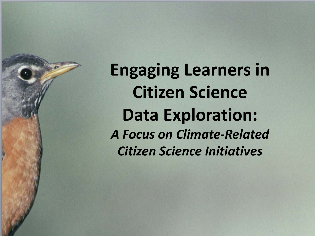**Engaging Learners in Citizen Science Data Exploration:** *A Focus on Climate-Related Citizen Science Initiatives*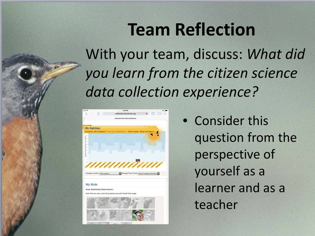### **Team Reflection**

With your team, discuss: *What did you learn from the citizen science data collection experience?* 



• Consider this question from the perspective of yourself as a learner and as a teacher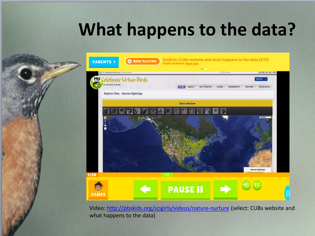### **What happens to the data?**



Video:<http://pbskids.org/scigirls/videos/nature-nurture> (select: CUBs website and what happens to the data)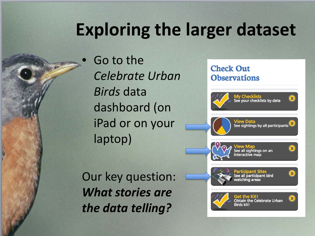# **Exploring the larger dataset**

• Go to the *Celebrate Urban Birds* data dashboard (on iPad or on your laptop)

Our key question: *What stories are the data telling?*

#### **Check Out Observations**



View Data<br>See sightings by all participants



See all sightings on an interactive map

 $\gg$ 



Participant Sites See all participant bird watching areas



Get the Kit! **Obtain the Celebrate Urban Rirds kit1**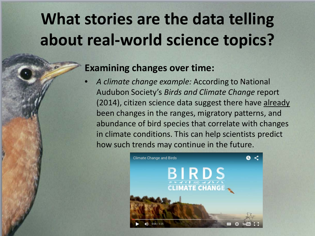# **What stories are the data telling about real-world science topics?**

#### **Examining changes over time:**

• *A climate change example:* According to National Audubon Society's *Birds and Climate Change* report (2014), citizen science data suggest there have already been changes in the ranges, migratory patterns, and abundance of bird species that correlate with changes in climate conditions. This can help scientists predict how such trends may continue in the future.

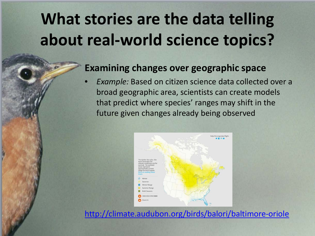# **What stories are the data telling about real-world science topics?**

#### **Examining changes over geographic space**

• *Example:* Based on citizen science data collected over a broad geographic area, scientists can create models that predict where species' ranges may shift in the future given changes already being observed



<http://climate.audubon.org/birds/balori/baltimore-oriole>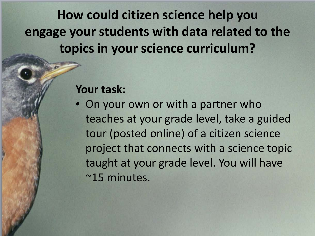**How could citizen science help you engage your students with data related to the topics in your science curriculum?**

#### **Your task:**

• On your own or with a partner who teaches at your grade level, take a guided tour (posted online) of a citizen science project that connects with a science topic taught at your grade level. You will have ~15 minutes.